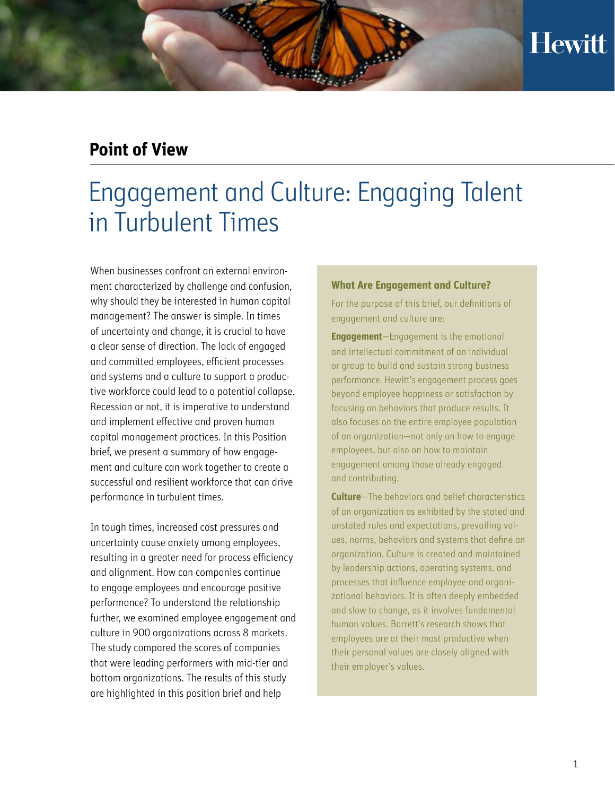## **Point of View**

# Engagement and Culture: Engaging Talent in Turbulent Times

When businesses confront an external environment characterized by challenge and confusion, why should they be interested in human capital management? The answer is simple. In times of uncertainty and change, it is crucial to have a clear sense of direction. The lack of engaged and committed employees, efficient processes and systems and a culture to support a productive workforce could lead to a potential collapse. Recession or not, it is imperative to understand and implement effective and proven human capital management practices. In this Position brief, we present a summary of how engagement and culture can work together to create a successful and resilient workforce that can drive performance in turbulent times.

In tough times, increased cost pressures and uncertainty cause anxiety among employees, resulting in a greater need for process efficiency and alignment. How can companies continue to engage employees and encourage positive performance? To understand the relationship further, we examined employee engagement and culture in 900 organizations across 8 markets. The study compared the scores of companies that were leading performers with mid-tier and bottom organizations. The results of this study are highlighted in this position brief and help

### **What Are Engagement and Culture?**

For the purpose of this brief, our definitions of engagement and culture are:

**Engagement**—Engagement is the emotional and intellectual commitment of an individual or group to build and sustain strong business performance. Hewitt's engagement process goes beyond employee happiness or satisfaction by focusing on behaviors that produce results. It also focuses on the entire employee population of an organization—not only on how to engage employees, but also on how to maintain engagement among those already engaged and contributing.

**Culture**—The behaviors and belief characteristics of an organization as exhibited by the stated and unstated rules and expectations, prevailing values, norms, behaviors and systems that define an organization. Culture is created and maintained by leadership actions, operating systems, and processes that influence employee and organizational behaviors. It is often deeply embedded and slow to change, as it involves fundamental human values. Barrett's research shows that employees are at their most productive when their personal values are closely aligned with their employer's values.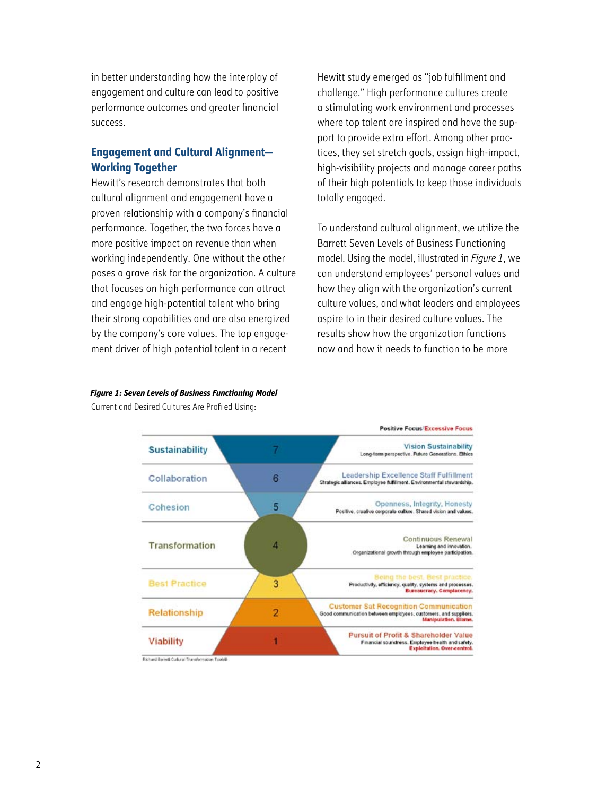in better understanding how the interplay of engagement and culture can lead to positive performance outcomes and greater financial success.

### **Engagement and Cultural Alignment— Working Together**

Hewitt's research demonstrates that both cultural alignment and engagement have a proven relationship with a company's financial performance. Together, the two forces have a more positive impact on revenue than when working independently. One without the other poses a grave risk for the organization. A culture that focuses on high performance can attract and engage high-potential talent who bring their strong capabilities and are also energized by the company's core values. The top engagement driver of high potential talent in a recent

Hewitt study emerged as "job fulfillment and challenge." High performance cultures create a stimulating work environment and processes where top talent are inspired and have the support to provide extra effort. Among other practices, they set stretch goals, assign high-impact, high-visibility projects and manage career paths of their high potentials to keep those individuals totally engaged.

To understand cultural alignment, we utilize the Barrett Seven Levels of Business Functioning model. Using the model, illustrated in *Figure 1*, we can understand employees' personal values and how they align with the organization's current culture values, and what leaders and employees aspire to in their desired culture values. The results show how the organization functions now and how it needs to function to be more

|                       |   | <b>Positive Focus Excessive Focus</b>                                                                                                       |
|-----------------------|---|---------------------------------------------------------------------------------------------------------------------------------------------|
| <b>Sustainability</b> |   | <b>Vision Sustainability</b><br>Long-term perspective. Future Generations. Ethics                                                           |
| Collaboration         | 6 | Leadership Excellence Staff Fulfillment<br>Strategic alliances, Employee fullilment, Environmental stewardship.                             |
| Cohesion              | 5 | Openness, Integrity, Honesty<br>Positive, creative corporate culture. Shared vision and values,                                             |
| Transformation        | л | <b>Continuous Renewal</b><br>Learning and innovation.<br>Organizational growth through employee participation.                              |
| <b>Best Practice</b>  | 3 | Being the best, Best practice,<br>Productivity, efficiency, quality, systems and processes.<br>Bureaucracy, Complacency,                    |
| Relationship          | 2 | <b>Customer Sat Recognition Communication</b><br>Good communication between employees, customers, and suppliers.<br>Manipulation, Blame,    |
| Viability             |   | <b>Pursuit of Profit &amp; Shareholder Value</b><br>Financial soundness. Employee health and safety.<br><b>Exploitation</b> , Over-control. |

### *Figure 1: Seven Levels of Business Functioning Model*

Current and Desired Cultures Are Profiled Using: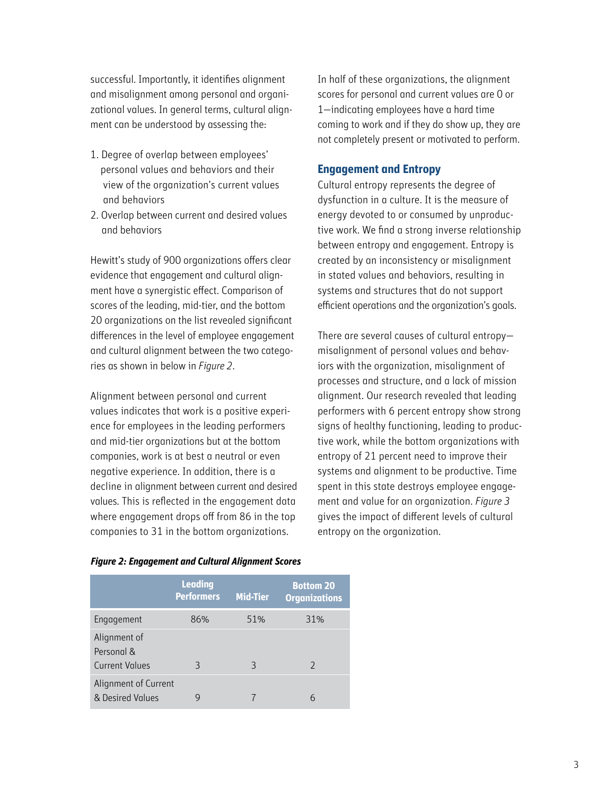successful. Importantly, it identifies alignment and misalignment among personal and organizational values. In general terms, cultural alignment can be understood by assessing the:

- 1. Degree of overlap between employees' personal values and behaviors and their view of the organization's current values and behaviors
- 2. Overlap between current and desired values and behaviors

Hewitt's study of 900 organizations offers clear evidence that engagement and cultural alignment have a synergistic effect. Comparison of scores of the leading, mid-tier, and the bottom 20 organizations on the list revealed significant differences in the level of employee engagement and cultural alignment between the two categories as shown in below in *Figure 2*.

Alignment between personal and current values indicates that work is a positive experience for employees in the leading performers and mid-tier organizations but at the bottom companies, work is at best a neutral or even negative experience. In addition, there is a decline in alignment between current and desired values. This is reflected in the engagement data where engagement drops off from 86 in the top companies to 31 in the bottom organizations.

In half of these organizations, the alignment scores for personal and current values are 0 or 1—indicating employees have a hard time coming to work and if they do show up, they are not completely present or motivated to perform.

### **Engagement and Entropy**

Cultural entropy represents the degree of dysfunction in a culture. It is the measure of energy devoted to or consumed by unproductive work. We find a strong inverse relationship between entropy and engagement. Entropy is created by an inconsistency or misalignment in stated values and behaviors, resulting in systems and structures that do not support efficient operations and the organization's goals.

There are several causes of cultural entropy misalignment of personal values and behaviors with the organization, misalignment of processes and structure, and a lack of mission alignment. Our research revealed that leading performers with 6 percent entropy show strong signs of healthy functioning, leading to productive work, while the bottom organizations with entropy of 21 percent need to improve their systems and alignment to be productive. Time spent in this state destroys employee engagement and value for an organization. *Figure 3* gives the impact of different levels of cultural entropy on the organization.

|                                                     | <b>Leading</b><br><b>Performers</b> | <b>Mid-Tier</b> | <b>Bottom 20</b><br><b>Organizations</b> |
|-----------------------------------------------------|-------------------------------------|-----------------|------------------------------------------|
| Engagement                                          | 86%                                 | 51%             | 31%                                      |
| Alignment of<br>Personal &<br><b>Current Values</b> | 3                                   | 3               | $\mathcal{D}$                            |
| Alignment of Current<br>& Desired Values            |                                     |                 | 6                                        |

#### *Figure 2: Engagement and Cultural Alignment Scores*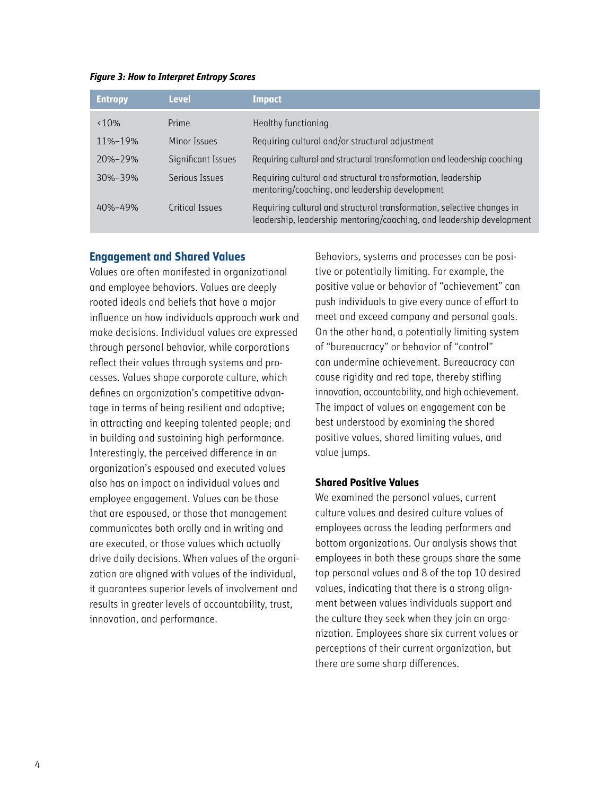#### *Figure 3: How to Interpret Entropy Scores*

| <b>Entropy</b> | <b>Level</b>       | <b>Impact</b>                                                                                                                                   |
|----------------|--------------------|-------------------------------------------------------------------------------------------------------------------------------------------------|
| $< 10\%$       | Prime              | Healthy functioning                                                                                                                             |
| 11%-19%        | Minor Issues       | Requiring cultural and/or structural adjustment                                                                                                 |
| $20% - 29%$    | Significant Issues | Requiring cultural and structural transformation and leadership coaching                                                                        |
| $30% - 39%$    | Serious Issues     | Requiring cultural and structural transformation, leadership<br>mentoring/coaching, and leadership development                                  |
| $40% - 49%$    | Critical Issues    | Requiring cultural and structural transformation, selective changes in<br>leadership, leadership mentoring/coaching, and leadership development |

### **Engagement and Shared Values**

Values are often manifested in organizational and employee behaviors. Values are deeply rooted ideals and beliefs that have a major influence on how individuals approach work and make decisions. Individual values are expressed through personal behavior, while corporations reflect their values through systems and processes. Values shape corporate culture, which defines an organization's competitive advantage in terms of being resilient and adaptive; in attracting and keeping talented people; and in building and sustaining high performance. Interestingly, the perceived difference in an organization's espoused and executed values also has an impact on individual values and employee engagement. Values can be those that are espoused, or those that management communicates both orally and in writing and are executed, or those values which actually drive daily decisions. When values of the organization are aligned with values of the individual, it guarantees superior levels of involvement and results in greater levels of accountability, trust, innovation, and performance.

Behaviors, systems and processes can be positive or potentially limiting. For example, the positive value or behavior of "achievement" can push individuals to give every ounce of effort to meet and exceed company and personal goals. On the other hand, a potentially limiting system of "bureaucracy" or behavior of "control" can undermine achievement. Bureaucracy can cause rigidity and red tape, thereby stifling innovation, accountability, and high achievement. The impact of values on engagement can be best understood by examining the shared positive values, shared limiting values, and value jumps.

### **Shared Positive Values**

We examined the personal values, current culture values and desired culture values of employees across the leading performers and bottom organizations. Our analysis shows that employees in both these groups share the same top personal values and 8 of the top 10 desired values, indicating that there is a strong alignment between values individuals support and the culture they seek when they join an organization. Employees share six current values or perceptions of their current organization, but there are some sharp differences.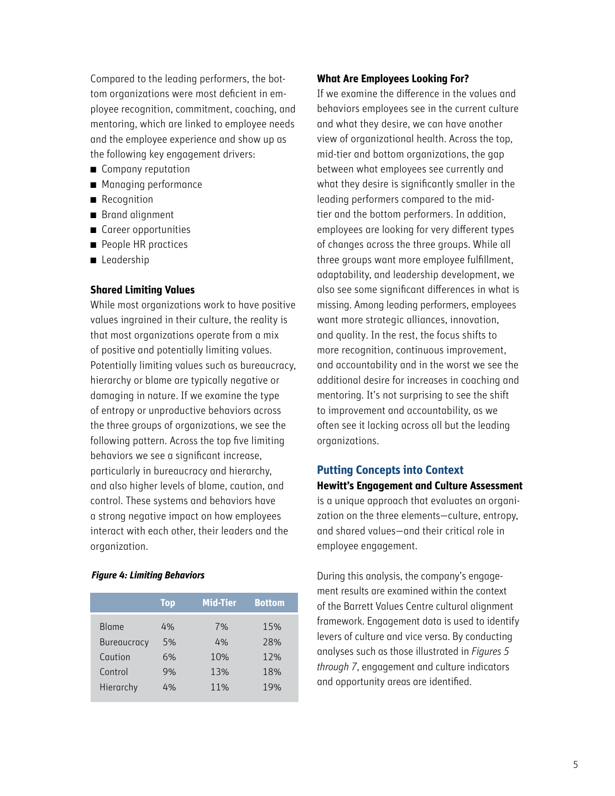Compared to the leading performers, the bottom organizations were most deficient in employee recognition, commitment, coaching, and mentoring, which are linked to employee needs and the employee experience and show up as the following key engagement drivers:

- Company reputation
- Managing performance
- **Recognition**
- Brand alignment
- $\blacksquare$  Career opportunities
- People HR practices
- Leadership

### **Shared Limiting Values**

While most organizations work to have positive values ingrained in their culture, the reality is that most organizations operate from a mix of positive and potentially limiting values. Potentially limiting values such as bureaucracy, hierarchy or blame are typically negative or damaging in nature. If we examine the type of entropy or unproductive behaviors across the three groups of organizations, we see the following pattern. Across the top five limiting behaviors we see a significant increase, particularly in bureaucracy and hierarchy, and also higher levels of blame, caution, and control. These systems and behaviors have a strong negative impact on how employees interact with each other, their leaders and the organization.

### *Figure 4: Limiting Behaviors*

|                    | <b>Top</b> | <b>Mid-Tier</b> | <b>Bottom</b> |
|--------------------|------------|-----------------|---------------|
| <b>Blame</b>       | 4%         | 7%              | 15%           |
| <b>Bureaucracy</b> | 5%         | 4%              | 28%           |
| Caution            | 6%         | 10%             | 12%           |
| Control            | 9%         | 13%             | 18%           |
| Hierarchy          | 4%         | 11%             | 19%           |

### **What Are Employees Looking For?**

If we examine the difference in the values and behaviors employees see in the current culture and what they desire, we can have another view of organizational health. Across the top, mid-tier and bottom organizations, the gap between what employees see currently and what they desire is significantly smaller in the leading performers compared to the midtier and the bottom performers. In addition, employees are looking for very different types of changes across the three groups. While all three groups want more employee fulfillment, adaptability, and leadership development, we also see some significant differences in what is missing. Among leading performers, employees want more strategic alliances, innovation, and quality. In the rest, the focus shifts to more recognition, continuous improvement, and accountability and in the worst we see the additional desire for increases in coaching and mentoring. It's not surprising to see the shift to improvement and accountability, as we often see it lacking across all but the leading organizations.

### **Putting Concepts into Context**

### **Hewitt's Engagement and Culture Assessment**

is a unique approach that evaluates an organization on the three elements—culture, entropy, and shared values—and their critical role in employee engagement.

During this analysis, the company's engagement results are examined within the context of the Barrett Values Centre cultural alignment framework. Engagement data is used to identify levers of culture and vice versa. By conducting analyses such as those illustrated in *Figures 5 through 7*, engagement and culture indicators and opportunity areas are identified.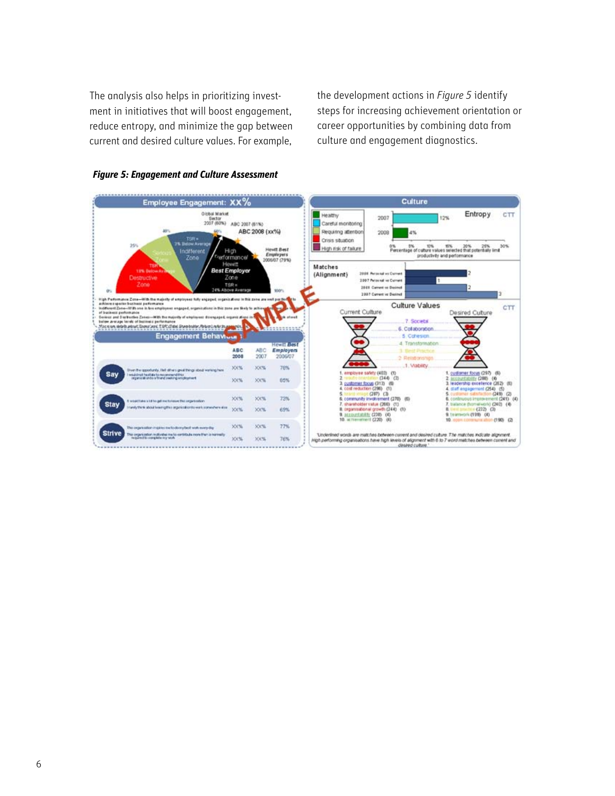The analysis also helps in prioritizing investment in initiatives that will boost engagement, reduce entropy, and minimize the gap between current and desired culture values. For example,

the development actions in *Figure 5* identify steps for increasing achievement orientation or career opportunities by combining data from culture and engagement diagnostics.



### *Figure 5: Engagement and Culture Assessment*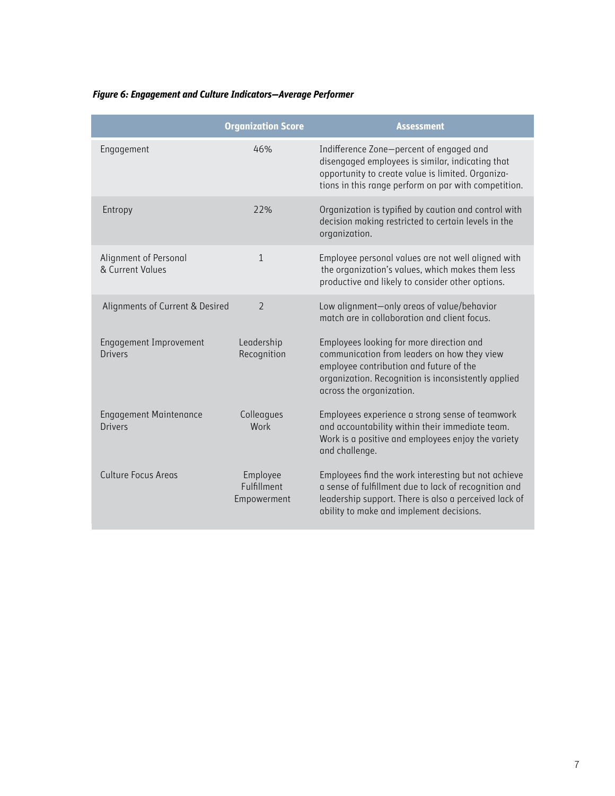### *Figure 6: Engagement and Culture Indicators—Average Performer*

|                                           | <b>Organization Score</b>              | <b>Assessment</b>                                                                                                                                                                                                     |
|-------------------------------------------|----------------------------------------|-----------------------------------------------------------------------------------------------------------------------------------------------------------------------------------------------------------------------|
| Engagement                                | 46%                                    | Indifference Zone-percent of engaged and<br>disengaged employees is similar, indicating that<br>opportunity to create value is limited. Organiza-<br>tions in this range perform on par with competition.             |
| Entropy                                   | 72%                                    | Organization is typified by caution and control with<br>decision making restricted to certain levels in the<br>organization.                                                                                          |
| Alignment of Personal<br>& Current Values | $\mathbf{1}$                           | Employee personal values are not well aligned with<br>the organization's values, which makes them less<br>productive and likely to consider other options.                                                            |
| Alignments of Current & Desired           | $\mathcal{P}$                          | Low alignment-only areas of value/behavior<br>match are in collaboration and client focus.                                                                                                                            |
| Engagement Improvement<br>Drivers         | Leadership<br>Recognition              | Employees looking for more direction and<br>communication from leaders on how they view<br>employee contribution and future of the<br>organization. Recognition is inconsistently applied<br>across the organization. |
| <b>Engagement Maintenance</b><br>Drivers  | Colleagues<br>Work                     | Employees experience a strong sense of teamwork<br>and accountability within their immediate team.<br>Work is a positive and employees enjoy the variety<br>and challenge.                                            |
| Culture Focus Areas                       | Employee<br>Fulfillment<br>Empowerment | Employees find the work interesting but not achieve<br>a sense of fulfillment due to lack of recognition and<br>leadership support. There is also a perceived lack of<br>ability to make and implement decisions.     |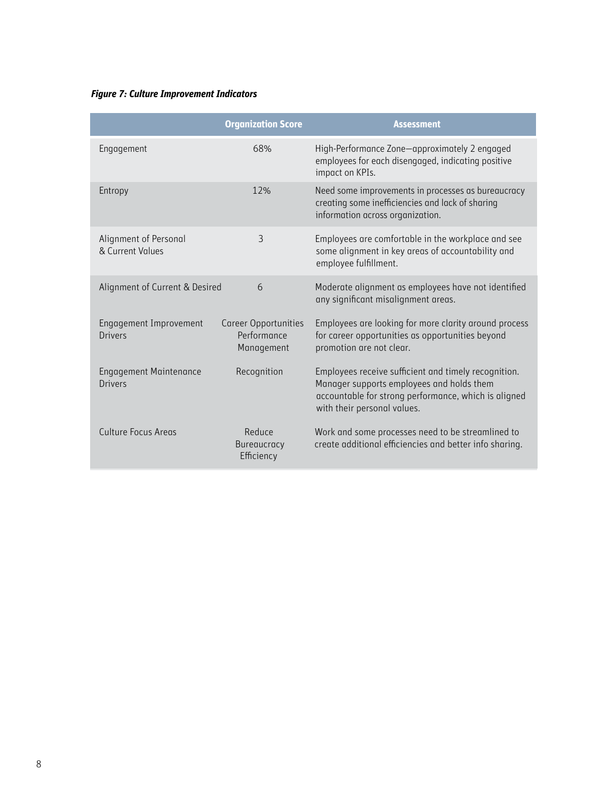### *Figure 7: Culture Improvement Indicators*

|                                           | <b>Organization Score</b>                                | <b>Assessment</b>                                                                                                                                                                        |
|-------------------------------------------|----------------------------------------------------------|------------------------------------------------------------------------------------------------------------------------------------------------------------------------------------------|
| Engagement                                | 68%                                                      | High-Performance Zone-approximately 2 engaged<br>employees for each disengaged, indicating positive<br>impact on KPIs.                                                                   |
| Entropy                                   | 12%                                                      | Need some improvements in processes as bureaucracy<br>creating some inefficiencies and lack of sharing<br>information across organization.                                               |
| Alignment of Personal<br>& Current Values | 3                                                        | Employees are comfortable in the workplace and see<br>some alignment in key areas of accountability and<br>employee fulfillment.                                                         |
| Alignment of Current & Desired            | 6                                                        | Moderate alignment as employees have not identified<br>any significant misalignment areas.                                                                                               |
| Engagement Improvement<br>Drivers         | <b>Career Opportunities</b><br>Performance<br>Management | Employees are looking for more clarity around process<br>for career opportunities as opportunities beyond<br>promotion are not clear.                                                    |
| <b>Engagement Maintenance</b><br>Drivers  | Recognition                                              | Employees receive sufficient and timely recognition.<br>Manager supports employees and holds them<br>accountable for strong performance, which is aligned<br>with their personal values. |
| <b>Culture Focus Areas</b>                | Reduce<br><b>Bureaucracy</b><br>Efficiency               | Work and some processes need to be streamlined to<br>create additional efficiencies and better info sharing.                                                                             |